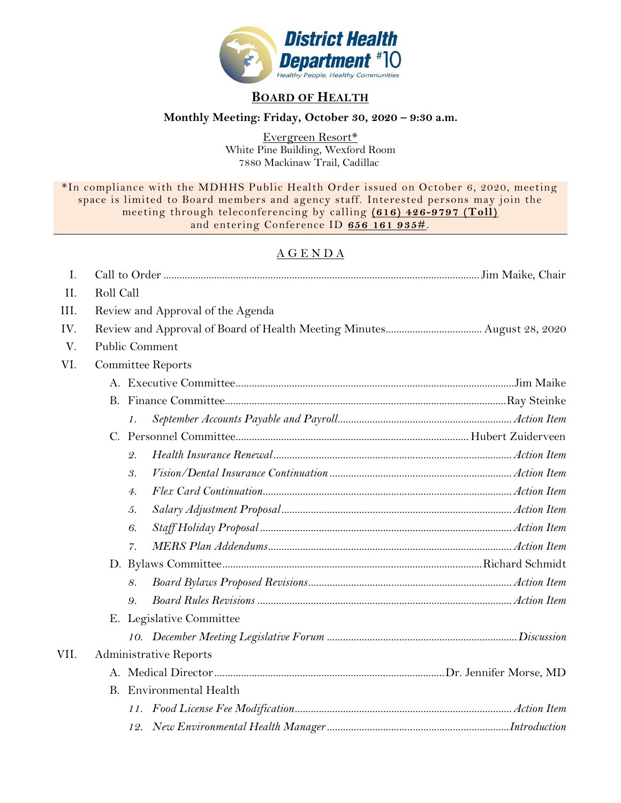

## **BOARD OF HEALTH**

## **Monthly Meeting: Friday, October 30, 2020 – 9:30 a.m.**

Evergreen Resort\* White Pine Building, Wexford Room 7880 Mackinaw Trail, Cadillac

\*In compliance with the MDHHS Public Health Order issued on October 6, 2020, meeting space is limited to Board members and agency staff. Interested persons may join the meeting through teleconferencing by calling **(616) 426-9797 (Toll)** and entering Conference ID **656 161 935#**.

## A G E N D A

| $\mathbf{I}$ . |                                   |                                |                          |  |  |
|----------------|-----------------------------------|--------------------------------|--------------------------|--|--|
| II.            | Roll Call                         |                                |                          |  |  |
| III.           | Review and Approval of the Agenda |                                |                          |  |  |
| IV.            |                                   |                                |                          |  |  |
| V.             |                                   |                                | Public Comment           |  |  |
| VI.            |                                   |                                | <b>Committee Reports</b> |  |  |
|                |                                   |                                |                          |  |  |
|                |                                   |                                |                          |  |  |
|                |                                   | 1.                             |                          |  |  |
|                |                                   |                                |                          |  |  |
|                |                                   | 2.                             |                          |  |  |
|                |                                   | 3.                             |                          |  |  |
|                |                                   | 4.                             |                          |  |  |
|                |                                   | 5.                             |                          |  |  |
|                |                                   | 6.                             |                          |  |  |
|                |                                   | 7.                             |                          |  |  |
|                |                                   |                                |                          |  |  |
|                |                                   | 8.                             |                          |  |  |
|                |                                   | 9.                             |                          |  |  |
|                |                                   | E. Legislative Committee       |                          |  |  |
|                |                                   |                                |                          |  |  |
| VII.           | <b>Administrative Reports</b>     |                                |                          |  |  |
|                |                                   |                                |                          |  |  |
|                |                                   | <b>B.</b> Environmental Health |                          |  |  |
|                |                                   |                                |                          |  |  |
|                |                                   |                                |                          |  |  |